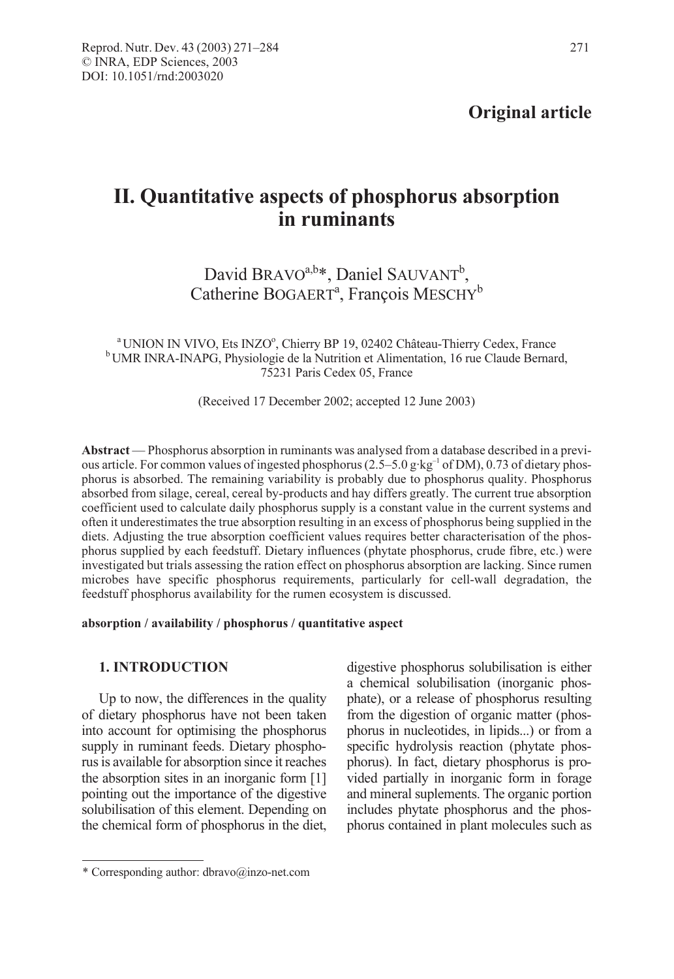# II. Quantitative aspects of phosphorus absorption in ruminants

## David BRAVO<sup>a,b\*</sup>, Daniel SAUVANT<sup>b</sup>, Catherine BOGAERT<sup>a</sup>, François MESCHY<sup>b</sup>

 $\rm{^{a}$ UNION IN VIVO, Ets INZO $\rm{^{o}}$ <sup>b</sup> UMR INRA-INAPG, Physiologie de la Nutrition et Alimentation, 16 rue Claude Bernard, 75231 Paris Cedex 05, France

(Received 17 December 2002; accepted 12 June 2003)

Abstract — Phosphorus absorption in ruminants was analysed from a database described in a previous article. For common values of ingested phosphorus (2.5–5.0 g·kg<sup>-1</sup> of DM), 0.73 of dietary phosphorus is absorbed. The remaining variability is probably due to phosphorus quality. Phosphorus absorbed from silage, cereal, cereal by-products and hay differs greatly. The current true absorption coefficient used to calculate daily phosphorus supply is a constant value in the current systems and often it underestimates the true absorption resulting in an excess of phosphorus being supplied in the diets. Adjusting the true absorption coefficient values requires better characterisation of the phosphorus supplied by each feedstuff. Dietary influences (phytate phosphorus, crude fibre, etc.) were investigated but trials assessing the ration effect on phosphorus absorption are lacking. Since rumen microbes have specific phosphorus requirements, particularly for cell-wall degradation, the feedstuff phosphorus availability for the rumen ecosystem is discussed.

#### absorption / availability / phosphorus / quantitative aspect

## 1. INTRODUCTION

Up to now, the differences in the quality of dietary phosphorus have not been taken into account for optimising the phosphorus supply in ruminant feeds. Dietary phosphorus is available for absorption since it reaches the absorption sites in an inorganic form [1] pointing out the importance of the digestive solubilisation of this element. Depending on the chemical form of phosphorus in the diet, digestive phosphorus solubilisation is either a chemical solubilisation (inorganic phosphate), or a release of phosphorus resulting from the digestion of organic matter (phosphorus in nucleotides, in lipids...) or from a specific hydrolysis reaction (phytate phosphorus). In fact, dietary phosphorus is provided partially in inorganic form in forage and mineral suplements. The organic portion includes phytate phosphorus and the phosphorus contained in plant molecules such as

<sup>\*</sup> Corresponding author: dbravo@inzo-net.com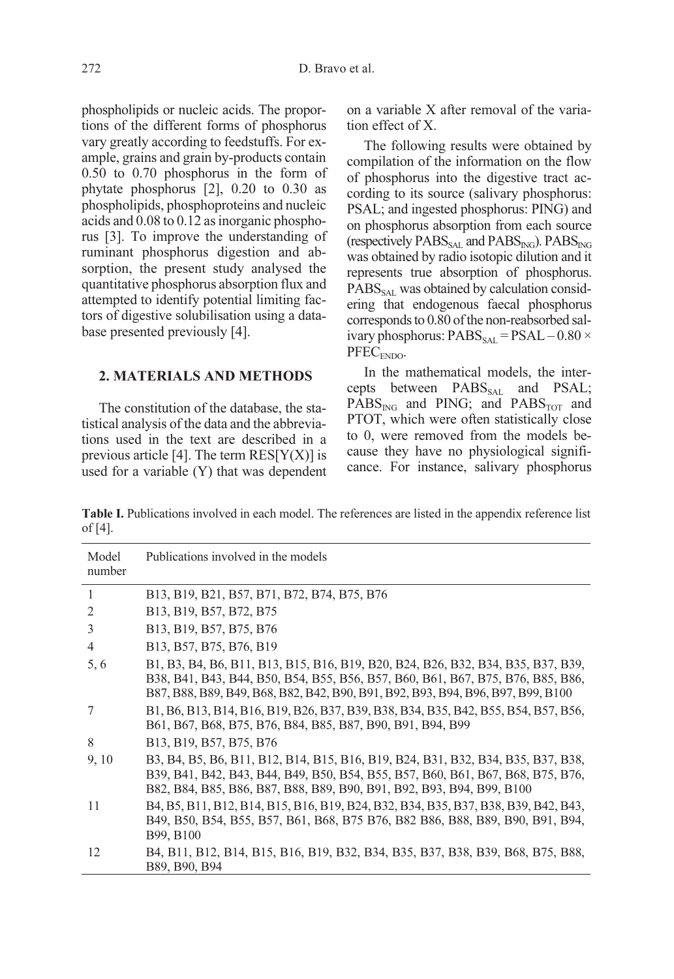phospholipids or nucleic acids. The proportions of the different forms of phosphorus vary greatly according to feedstuffs. For example, grains and grain by-products contain 0.50 to 0.70 phosphorus in the form of phytate phosphorus [2], 0.20 to 0.30 as phospholipids, phosphoproteins and nucleic acids and 0.08 to 0.12 as inorganic phosphorus [3]. To improve the understanding of ruminant phosphorus digestion and absorption, the present study analysed the quantitative phosphorus absorption flux and attempted to identify potential limiting factors of digestive solubilisation using a database presented previously [4].

## 2. MATERIALS AND METHODS

The constitution of the database, the statistical analysis of the data and the abbreviations used in the text are described in a previous article [4]. The term  $RES[Y(X)]$  is used for a variable (Y) that was dependent on a variable X after removal of the variation effect of X.

The following results were obtained by compilation of the information on the flow of phosphorus into the digestive tract according to its source (salivary phosphorus: PSAL; and ingested phosphorus: PING) and on phosphorus absorption from each source (respectively  $PABS_{SAL}$  and  $PABS_{ING}$ ).  $PABS_{ING}$ was obtained by radio isotopic dilution and it represents true absorption of phosphorus.  $PABS<sub>SAI</sub>$  was obtained by calculation considering that endogenous faecal phosphorus corresponds to 0.80 of the non-reabsorbed salivary phosphorus:  $PABS_{SAL} = PSAL - 0.80 \times$ PFEC<sub>ENDO</sub>.

In the mathematical models, the intercepts between  $PABS_{SAL}$  and  $PSAL$ ;  $PABS_{ING}$  and  $PING$ ; and  $PABS_{TOT}$  and PTOT, which were often statistically close to 0, were removed from the models because they have no physiological significance. For instance, salivary phosphorus

Table I. Publications involved in each model. The references are listed in the appendix reference list of [4].

| Model<br>number | Publications involved in the models                                                                                                                                                                                                                    |
|-----------------|--------------------------------------------------------------------------------------------------------------------------------------------------------------------------------------------------------------------------------------------------------|
| 1               | B13, B19, B21, B57, B71, B72, B74, B75, B76                                                                                                                                                                                                            |
| 2               | B13, B19, B57, B72, B75                                                                                                                                                                                                                                |
| 3               | B13, B19, B57, B75, B76                                                                                                                                                                                                                                |
| $\overline{4}$  | B13, B57, B75, B76, B19                                                                                                                                                                                                                                |
| 5,6             | B1, B3, B4, B6, B11, B13, B15, B16, B19, B20, B24, B26, B32, B34, B35, B37, B39,<br>B38, B41, B43, B44, B50, B54, B55, B56, B57, B60, B61, B67, B75, B76, B85, B86,<br>B87, B88, B89, B49, B68, B82, B42, B90, B91, B92, B93, B94, B96, B97, B99, B100 |
| 7               | B1, B6, B13, B14, B16, B19, B26, B37, B39, B38, B34, B35, B42, B55, B54, B57, B56,<br>B61, B67, B68, B75, B76, B84, B85, B87, B90, B91, B94, B99                                                                                                       |
| 8               | B13, B19, B57, B75, B76                                                                                                                                                                                                                                |
| 9, 10           | B3, B4, B5, B6, B11, B12, B14, B15, B16, B19, B24, B31, B32, B34, B35, B37, B38,<br>B39, B41, B42, B43, B44, B49, B50, B54, B55, B57, B60, B61, B67, B68, B75, B76,<br>B82, B84, B85, B86, B87, B88, B89, B90, B91, B92, B93, B94, B99, B100           |
| 11              | B4, B5, B11, B12, B14, B15, B16, B19, B24, B32, B34, B35, B37, B38, B39, B42, B43,<br>B49, B50, B54, B55, B57, B61, B68, B75 B76, B82 B86, B88, B89, B90, B91, B94,<br>B99, B100                                                                       |
| 12              | B4, B11, B12, B14, B15, B16, B19, B32, B34, B35, B37, B38, B39, B68, B75, B88,<br>B89, B90, B94                                                                                                                                                        |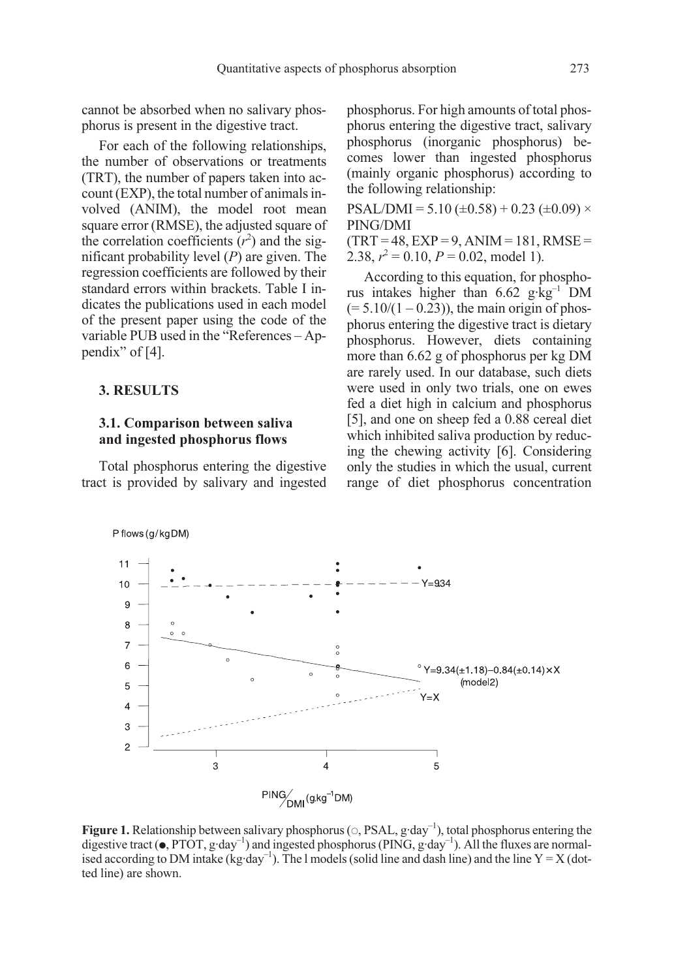cannot be absorbed when no salivary phosphorus is present in the digestive tract.

For each of the following relationships, the number of observations or treatments (TRT), the number of papers taken into account (EXP), the total number of animals involved (ANIM), the model root mean square error (RMSE), the adjusted square of the correlation coefficients  $(r^2)$  and the significant probability level  $(P)$  are given. The regression coefficients are followed by their standard errors within brackets. Table I indicates the publications used in each model of the present paper using the code of the variable PUB used in the "References – Appendix" of [4].

#### 3. RESULTS

#### 3.1. Comparison between saliva and ingested phosphorus flows

Total phosphorus entering the digestive tract is provided by salivary and ingested phosphorus. For high amounts of total phosphorus entering the digestive tract, salivary phosphorus (inorganic phosphorus) becomes lower than ingested phosphorus (mainly organic phosphorus) according to the following relationship:

 $PSAL/DMI = 5.10 (\pm 0.58) + 0.23 (\pm 0.09) \times$ PING/DMI

 $(TRT = 48, EXP = 9, ANIM = 181, RMSE =$ 2.38,  $r^2 = 0.10$ ,  $P = 0.02$ , model 1).

According to this equation, for phosphorus intakes higher than 6.62 g·kg–1 DM  $(= 5.10/(1 - 0.23))$ , the main origin of phosphorus entering the digestive tract is dietary phosphorus. However, diets containing more than 6.62 g of phosphorus per kg DM are rarely used. In our database, such diets were used in only two trials, one on ewes fed a diet high in calcium and phosphorus [5], and one on sheep fed a 0.88 cereal diet which inhibited saliva production by reducing the chewing activity [6]. Considering only the studies in which the usual, current range of diet phosphorus concentration



**Figure 1.** Relationship between salivary phosphorus ( $\circ$ , PSAL, g·day<sup>-1</sup>), total phosphorus entering the digestive tract ( $\bullet$ , PTOT, g·day<sup>-1</sup>) and ingested phosphorus (PING, g·day<sup>-1</sup>). All the fluxes are normalised according to DM intake (kg·day<sup>-1</sup>). The l models (solid line and dash line) and the line  $Y = X$  (dotted line) are shown.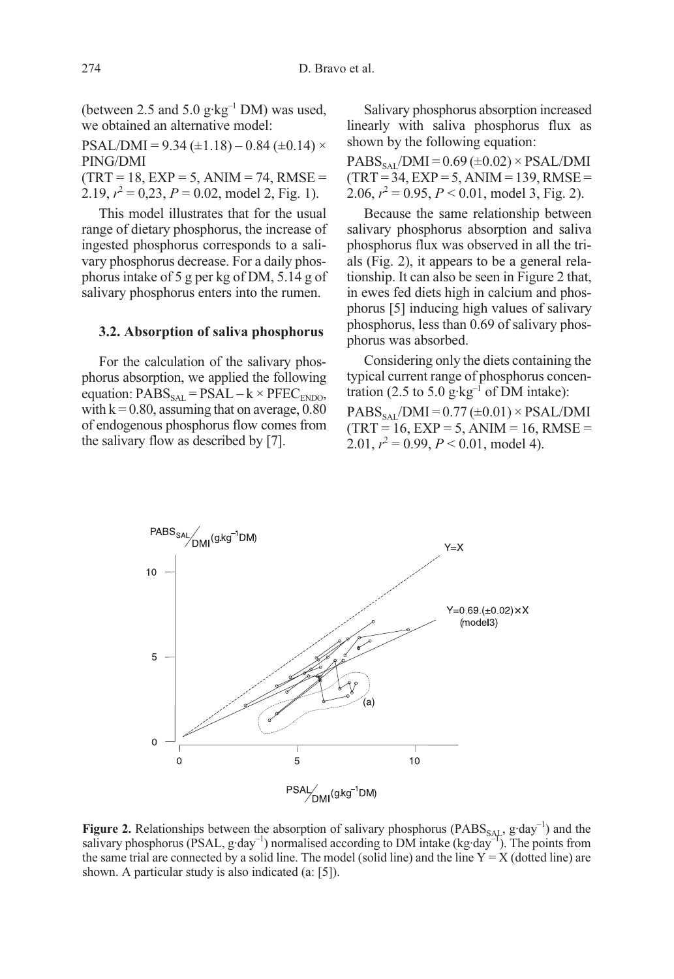(between 2.5 and 5.0  $g \cdot kg^{-1}$  DM) was used, we obtained an alternative model:

PSAL/DMI =  $9.34 \ (\pm 1.18) - 0.84 \ (\pm 0.14) \times$ PING/DMI  $(TRT = 18, EXP = 5, ANIM = 74, RMSE =$ 2.19,  $r^2 = 0.23$ ,  $P = 0.02$ , model 2, Fig. 1).

This model illustrates that for the usual range of dietary phosphorus, the increase of ingested phosphorus corresponds to a salivary phosphorus decrease. For a daily phosphorus intake of 5 g per kg of DM, 5.14 g of salivary phosphorus enters into the rumen.

#### 3.2. Absorption of saliva phosphorus

For the calculation of the salivary phosphorus absorption, we applied the following equation:  $PABS_{SAL} = PSAL - k \times PFEC_{ENDO}$ , with  $k = 0.80$ , assuming that on average, 0.80 of endogenous phosphorus flow comes from the salivary flow as described by [7].

Salivary phosphorus absorption increased linearly with saliva phosphorus flux as shown by the following equation:

 $PABS_{SAL}/DMI = 0.69 \ (\pm 0.02) \times PSAL/DMI$  $(TRT = 34, EXP = 5, ANIM = 139, RMSE =$ 2.06,  $r^2 = 0.95$ ,  $P < 0.01$ , model 3, Fig. 2).

Because the same relationship between salivary phosphorus absorption and saliva phosphorus flux was observed in all the trials (Fig. 2), it appears to be a general relationship. It can also be seen in Figure 2 that, in ewes fed diets high in calcium and phosphorus [5] inducing high values of salivary phosphorus, less than 0.69 of salivary phosphorus was absorbed.

Considering only the diets containing the typical current range of phosphorus concentration (2.5 to 5.0  $g$ ·kg<sup>-1</sup> of DM intake):  $PABS_{SAI}/DMI = 0.77 (\pm 0.01) \times PSAL/DMI$  $(TRT = 16, EXP = 5, ANIM = 16, RMSE =$ 2.01,  $r^2 = 0.99$ ,  $P < 0.01$ , model 4).



**Figure 2.** Relationships between the absorption of salivary phosphorus (PABS<sub>SAL</sub>, g·day<sup>-1</sup>) and the salivary phosphorus (PSAL,  $g \cdot day^{-1}$ ) normalised according to DM intake (kg $\cdot day^{-1}$ ). The points from the same trial are connected by a solid line. The model (solid line) and the line  $Y = X$  (dotted line) are shown. A particular study is also indicated (a: [5]).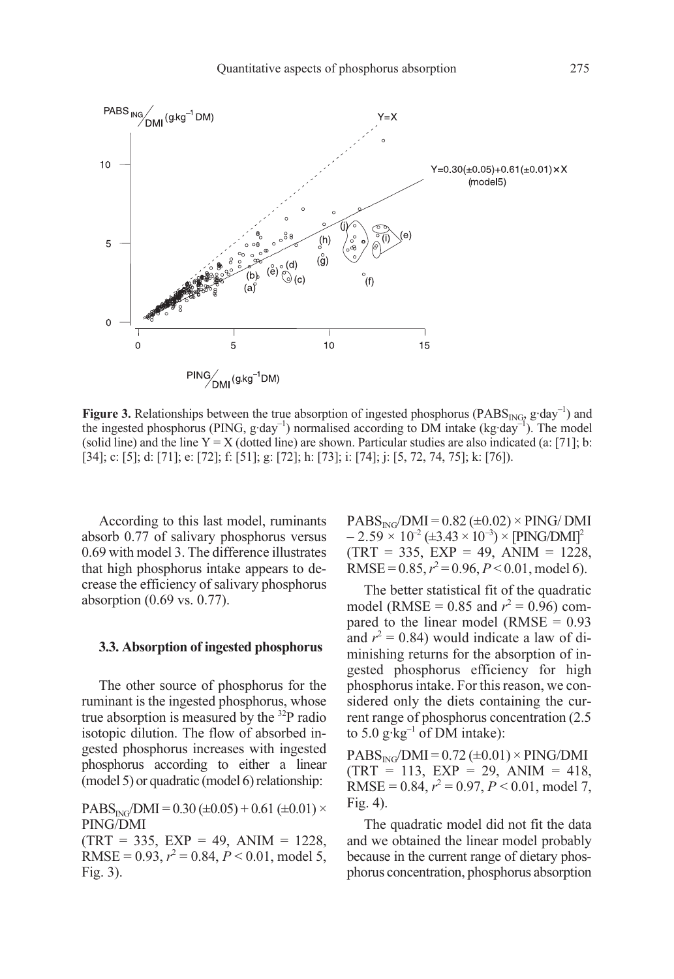

**Figure 3.** Relationships between the true absorption of ingested phosphorus (PABS<sub>ING</sub>,  $g \cdot day^{-1}$ ) and the ingested phosphorus (PING,  $g \cdot day^{-1}$ ) normalised according to DM intake (kg $\cdot day^{-1}$ ). The model (solid line) and the line  $Y = X$  (dotted line) are shown. Particular studies are also indicated (a: [71]; b: [34]; c: [5]; d: [71]; e: [72]; f: [51]; g: [72]; h: [73]; i: [74]; j: [5, 72, 74, 75]; k: [76]).

According to this last model, ruminants absorb 0.77 of salivary phosphorus versus 0.69 with model 3. The difference illustrates that high phosphorus intake appears to decrease the efficiency of salivary phosphorus absorption (0.69 vs. 0.77).

#### 3.3. Absorption of ingested phosphorus

The other source of phosphorus for the ruminant is the ingested phosphorus, whose true absorption is measured by the  $32P$  radio isotopic dilution. The flow of absorbed ingested phosphorus increases with ingested phosphorus according to either a linear (model 5) or quadratic (model 6) relationship:

 $PABS_{ING}/DMI = 0.30 (\pm 0.05) + 0.61 (\pm 0.01) \times$ PING/DMI  $(TRT = 335, EXP = 49, ANIM = 1228,$ RMSE =  $0.93$ ,  $r^2 = 0.84$ ,  $P < 0.01$ , model 5, Fig. 3).

 $PABS_{ING}/DMI = 0.82 \ (\pm 0.02) \times PING/DMI$  $- 2.59 \times 10^{-2} (\pm 3.43 \times 10^{-3}) \times [PING/DMI]^2$  $(TRT = 335, EXP = 49, ANIM = 1228,$ RMSE =  $0.85$ ,  $r^2 = 0.96$ ,  $P < 0.01$ , model 6).

The better statistical fit of the quadratic model (RMSE =  $0.85$  and  $r^2 = 0.96$ ) compared to the linear model ( $RMSE = 0.93$ ) and  $r^2 = 0.84$ ) would indicate a law of diminishing returns for the absorption of ingested phosphorus efficiency for high phosphorus intake. For this reason, we considered only the diets containing the current range of phosphorus concentration (2.5 to 5.0  $g \cdot kg^{-1}$  of DM intake):

 $PABS_{ING}/DMI = 0.72 \ (\pm 0.01) \times PING/DMI$  $(TRT = 113, EXP = 29, ANIM = 418,$ RMSE =  $0.84$ ,  $r^2 = 0.97$ ,  $P < 0.01$ , model 7, Fig. 4).

The quadratic model did not fit the data and we obtained the linear model probably because in the current range of dietary phosphorus concentration, phosphorus absorption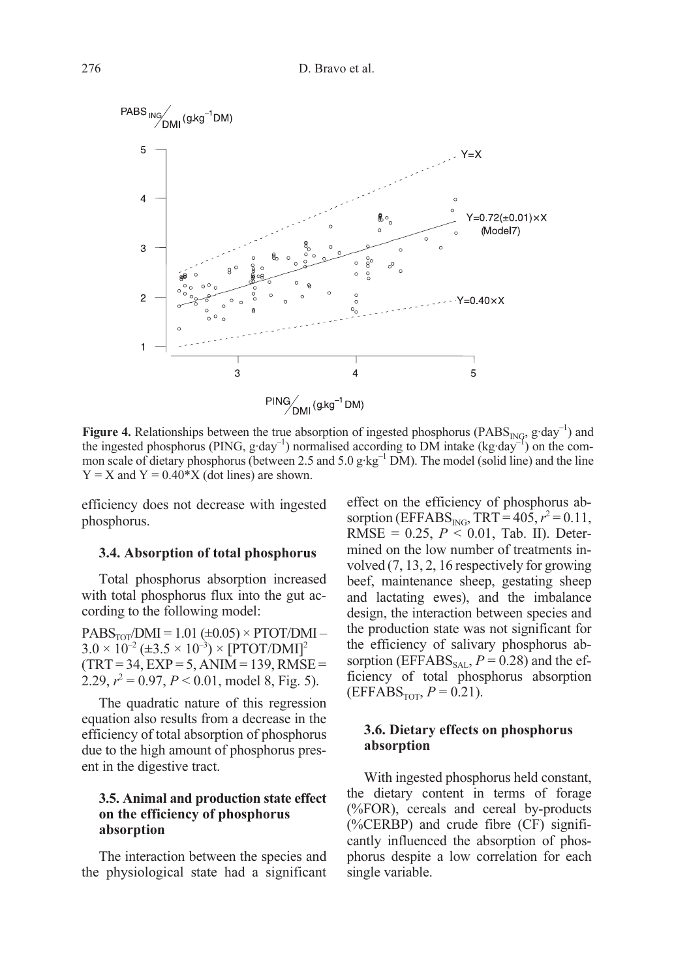

**Figure 4.** Relationships between the true absorption of ingested phosphorus (PABS<sub>ING</sub>, g·day<sup>-1</sup>) and the ingested phosphorus (PING, g·day<sup>-1</sup>) normalised according to DM intake (kg·day<sup>-1</sup>) on the common scale of dietary phosphorus (between 2.5 and 5.0 g·kg<sup>-1</sup> DM). The model (solid line) and the line  $Y = X$  and  $Y = 0.40*X$  (dot lines) are shown.

efficiency does not decrease with ingested phosphorus.

#### 3.4. Absorption of total phosphorus

Total phosphorus absorption increased with total phosphorus flux into the gut according to the following model:

 $PABS<sub>TOT</sub>/DMI = 1.01 (\pm 0.05) \times PTOT/DMI 3.0 \times 10^{-2} (\pm 3.5 \times 10^{-3}) \times [PTOT/DMI]^2$  $(TRT = 34, EXP = 5, ANIM = 139, RMSE =$ 2.29,  $r^2 = 0.97$ ,  $P < 0.01$ , model 8, Fig. 5).

The quadratic nature of this regression equation also results from a decrease in the efficiency of total absorption of phosphorus due to the high amount of phosphorus present in the digestive tract.

#### 3.5. Animal and production state effect on the efficiency of phosphorus absorption

The interaction between the species and the physiological state had a significant effect on the efficiency of phosphorus absorption (EFFABS<sub>ING</sub>, TRT =  $405, r^2 = 0.11$ , RMSE =  $0.25$ ,  $P < 0.01$ , Tab. II). Determined on the low number of treatments involved (7, 13, 2, 16 respectively for growing beef, maintenance sheep, gestating sheep and lactating ewes), and the imbalance design, the interaction between species and the production state was not significant for the efficiency of salivary phosphorus absorption (EFFABS<sub>SAL</sub>,  $P = 0.28$ ) and the efficiency of total phosphorus absorption  $(EFFABS<sub>TOT</sub>, P = 0.21).$ 

#### 3.6. Dietary effects on phosphorus absorption

With ingested phosphorus held constant, the dietary content in terms of forage (%FOR), cereals and cereal by-products (%CERBP) and crude fibre (CF) significantly influenced the absorption of phosphorus despite a low correlation for each single variable.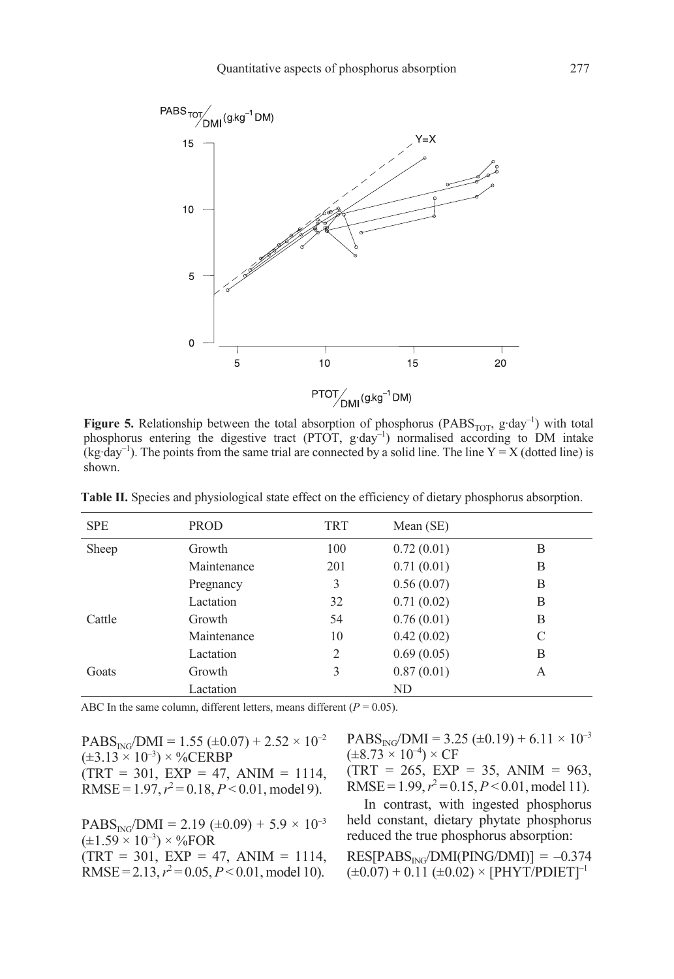

Figure 5. Relationship between the total absorption of phosphorus (PABS<sub>TOT</sub>, g·day<sup>-1</sup>) with total phosphorus entering the digestive tract (PTOT, g·day<sup>-1</sup>) normalised according to DM intake (kg·day<sup>-1</sup>). The points from the same trial are connected by a solid line. The line  $Y = X$  (dotted line) is shown.

| <b>SPE</b> | <b>PROD</b> | TRT | Mean $(SE)$ |   |
|------------|-------------|-----|-------------|---|
| Sheep      | Growth      | 100 | 0.72(0.01)  | B |
|            | Maintenance | 201 | 0.71(0.01)  | B |
|            | Pregnancy   | 3   | 0.56(0.07)  | В |
|            | Lactation   | 32  | 0.71(0.02)  | B |
| Cattle     | Growth      | 54  | 0.76(0.01)  | B |
|            | Maintenance | 10  | 0.42(0.02)  | C |
|            | Lactation   | 2   | 0.69(0.05)  | B |
| Goats      | Growth      | 3   | 0.87(0.01)  | A |
|            | Lactation   |     | ND          |   |

Table II. Species and physiological state effect on the efficiency of dietary phosphorus absorption.

ABC In the same column, different letters, means different ( $P = 0.05$ ).

 $PABS_{ING}/DMI = 1.55 \ (\pm 0.07) + 2.52 \times 10^{-2}$  $(\pm 3.13 \times 10^{-3}) \times \%$ CERBP  $(TRT = 301, EXP = 47, ANIM = 1114,$ RMSE =  $1.97, r^2 = 0.18, P < 0.01, \text{model } 9$ .

 $PABS_{ING}/DMI = 2.19 \ (\pm 0.09) + 5.9 \times 10^{-3}$  $(\pm 1.59 \times 10^{-3}) \times \%$ FOR  $(TRT = 301, EXP = 47, ANIM = 1114,$ RMSE = 2.13,  $r^2$  = 0.05,  $P < 0.01$ , model 10).

 $PABS<sub>ING</sub>/DMI = 3.25 (\pm 0.19) + 6.11 \times 10^{-3}$  $(\pm 8.73 \times 10^{-4}) \times CF$ 

 $(TRT = 265, EXP = 35, ANIM = 963,$ RMSE =  $1.99$ ,  $r^2 = 0.15$ ,  $P < 0.01$ , model 11).

In contrast, with ingested phosphorus held constant, dietary phytate phosphorus reduced the true phosphorus absorption:

 $RES[PABS_{ING}/DMI(PING/DMI)] = -0.374$  $(\pm 0.07) + 0.11 (\pm 0.02) \times [PHYT/PDIET]^{-1}$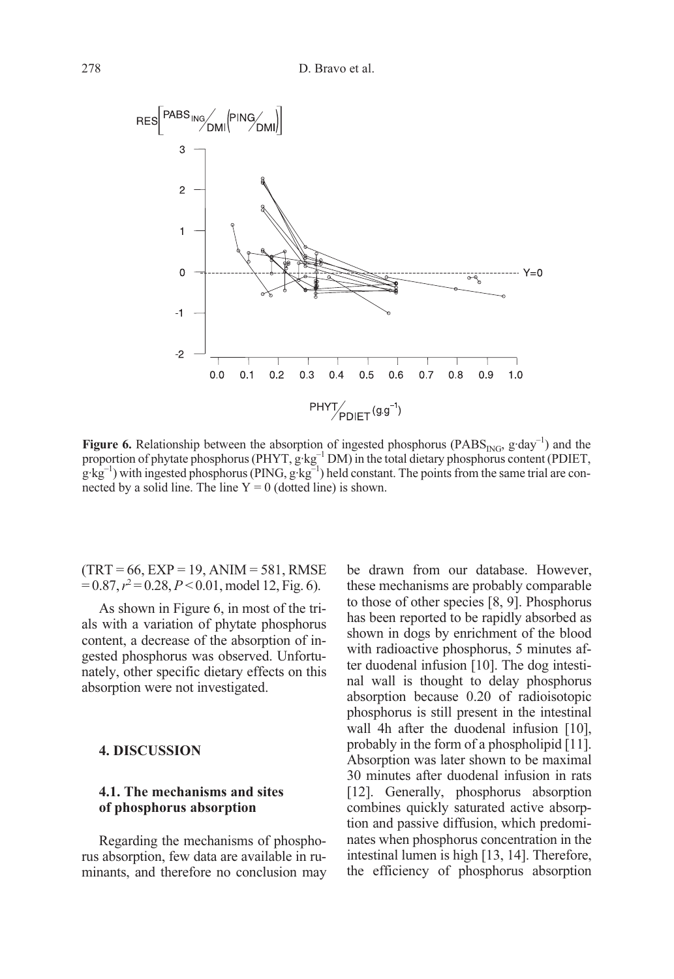

**Figure 6.** Relationship between the absorption of ingested phosphorus (PABS<sub>ING</sub>, g·day<sup>-1</sup>) and the proportion of phytate phosphorus (PHYT, g·kg<sup>-1</sup> DM) in the total dietary phosphorus content (PDIET,  $g:kg^{-1}$ ) with ingested phosphorus (PING,  $g:kg^{-1}$ ) held constant. The points from the same trial are connected by a solid line. The line  $Y = 0$  (dotted line) is shown.

 $(TRT = 66, EXP = 19, ANIM = 581, RMSE$  $= 0.87, r^2 = 0.28, P < 0.01, \text{model}$  12, Fig. 6).

As shown in Figure 6, in most of the trials with a variation of phytate phosphorus content, a decrease of the absorption of ingested phosphorus was observed. Unfortunately, other specific dietary effects on this absorption were not investigated.

#### 4. DISCUSSION

#### 4.1. The mechanisms and sites of phosphorus absorption

Regarding the mechanisms of phosphorus absorption, few data are available in ruminants, and therefore no conclusion may be drawn from our database. However, these mechanisms are probably comparable to those of other species [8, 9]. Phosphorus has been reported to be rapidly absorbed as shown in dogs by enrichment of the blood with radioactive phosphorus, 5 minutes after duodenal infusion [10]. The dog intestinal wall is thought to delay phosphorus absorption because 0.20 of radioisotopic phosphorus is still present in the intestinal wall 4h after the duodenal infusion [10], probably in the form of a phospholipid [11]. Absorption was later shown to be maximal 30 minutes after duodenal infusion in rats [12]. Generally, phosphorus absorption combines quickly saturated active absorption and passive diffusion, which predominates when phosphorus concentration in the intestinal lumen is high [13, 14]. Therefore, the efficiency of phosphorus absorption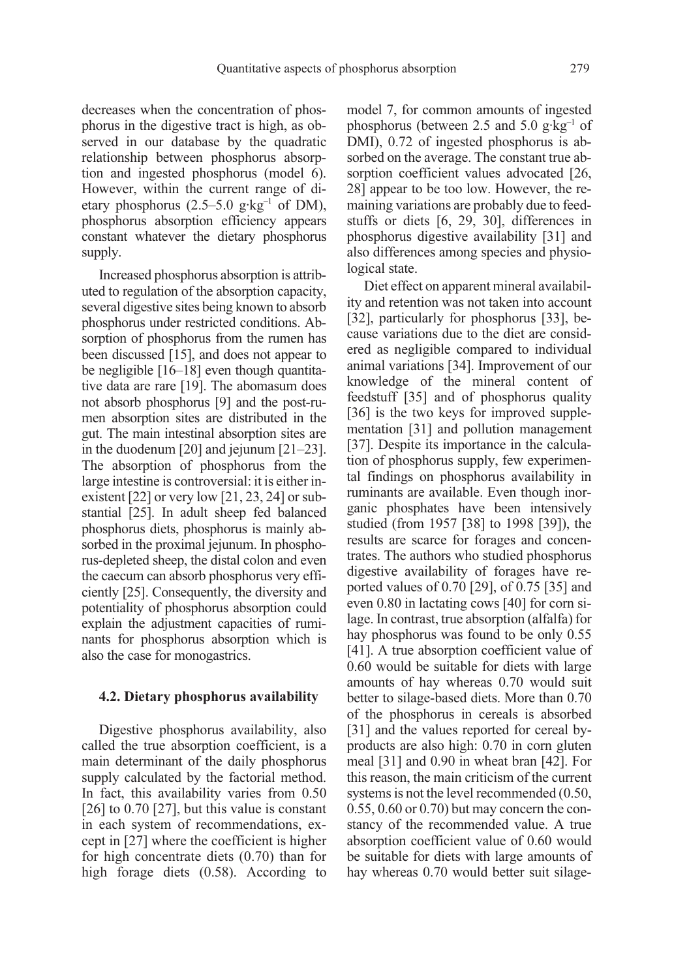decreases when the concentration of phosphorus in the digestive tract is high, as observed in our database by the quadratic relationship between phosphorus absorption and ingested phosphorus (model 6). However, within the current range of dietary phosphorus  $(2.5-5.0 \text{ g} \cdot \text{kg}^{-1} \text{ of DM})$ , phosphorus absorption efficiency appears constant whatever the dietary phosphorus supply.

Increased phosphorus absorption is attributed to regulation of the absorption capacity, several digestive sites being known to absorb phosphorus under restricted conditions. Absorption of phosphorus from the rumen has been discussed [15], and does not appear to be negligible [16–18] even though quantitative data are rare [19]. The abomasum does not absorb phosphorus [9] and the post-rumen absorption sites are distributed in the gut. The main intestinal absorption sites are in the duodenum [20] and jejunum [21–23]. The absorption of phosphorus from the large intestine is controversial: it is either inexistent [22] or very low [21, 23, 24] or substantial [25]. In adult sheep fed balanced phosphorus diets, phosphorus is mainly absorbed in the proximal jejunum. In phosphorus-depleted sheep, the distal colon and even the caecum can absorb phosphorus very efficiently [25]. Consequently, the diversity and potentiality of phosphorus absorption could explain the adjustment capacities of ruminants for phosphorus absorption which is also the case for monogastrics.

#### 4.2. Dietary phosphorus availability

Digestive phosphorus availability, also called the true absorption coefficient, is a main determinant of the daily phosphorus supply calculated by the factorial method. In fact, this availability varies from 0.50  $[26]$  to 0.70  $[27]$ , but this value is constant in each system of recommendations, except in [27] where the coefficient is higher for high concentrate diets (0.70) than for high forage diets (0.58). According to model 7, for common amounts of ingested phosphorus (between 2.5 and 5.0  $g \cdot kg^{-1}$  of DMI), 0.72 of ingested phosphorus is absorbed on the average. The constant true absorption coefficient values advocated [26, 28] appear to be too low. However, the remaining variations are probably due to feedstuffs or diets [6, 29, 30], differences in phosphorus digestive availability [31] and also differences among species and physiological state.

Diet effect on apparent mineral availability and retention was not taken into account [32], particularly for phosphorus [33], because variations due to the diet are considered as negligible compared to individual animal variations [34]. Improvement of our knowledge of the mineral content of feedstuff [35] and of phosphorus quality [36] is the two keys for improved supplementation [31] and pollution management [37]. Despite its importance in the calculation of phosphorus supply, few experimental findings on phosphorus availability in ruminants are available. Even though inorganic phosphates have been intensively studied (from 1957 [38] to 1998 [39]), the results are scarce for forages and concentrates. The authors who studied phosphorus digestive availability of forages have reported values of 0.70 [29], of 0.75 [35] and even 0.80 in lactating cows [40] for corn silage. In contrast, true absorption (alfalfa) for hay phosphorus was found to be only 0.55 [41]. A true absorption coefficient value of 0.60 would be suitable for diets with large amounts of hay whereas 0.70 would suit better to silage-based diets. More than 0.70 of the phosphorus in cereals is absorbed [31] and the values reported for cereal byproducts are also high: 0.70 in corn gluten meal [31] and 0.90 in wheat bran [42]. For this reason, the main criticism of the current systems is not the level recommended (0.50, 0.55, 0.60 or 0.70) but may concern the constancy of the recommended value. A true absorption coefficient value of 0.60 would be suitable for diets with large amounts of hay whereas 0.70 would better suit silage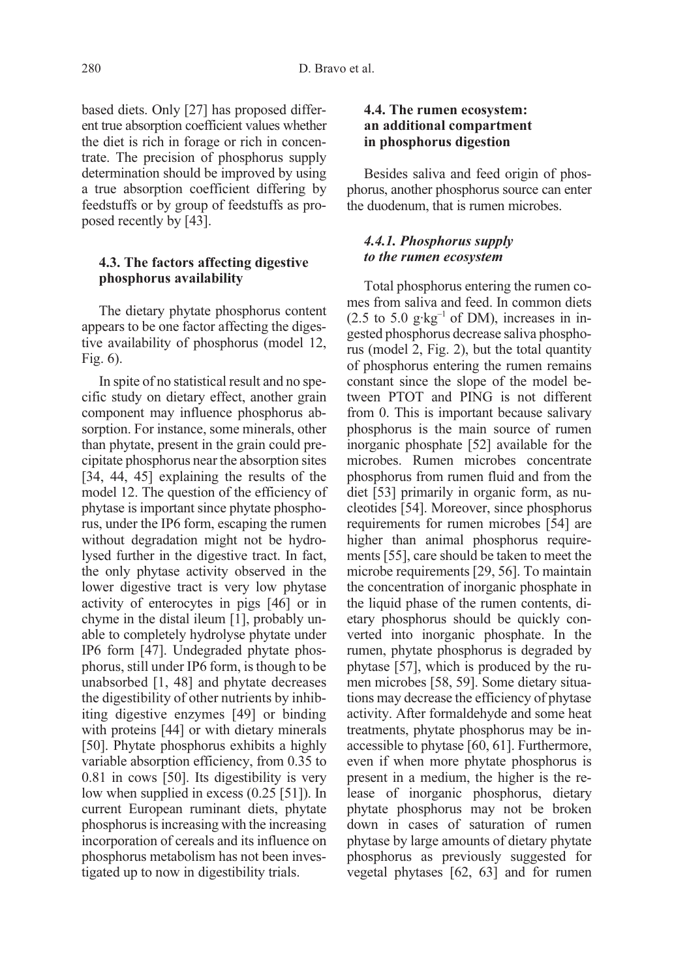based diets. Only [27] has proposed different true absorption coefficient values whether the diet is rich in forage or rich in concentrate. The precision of phosphorus supply determination should be improved by using a true absorption coefficient differing by feedstuffs or by group of feedstuffs as proposed recently by [43].

#### 4.3. The factors affecting digestive phosphorus availability

The dietary phytate phosphorus content appears to be one factor affecting the digestive availability of phosphorus (model 12, Fig. 6).

In spite of no statistical result and no specific study on dietary effect, another grain component may influence phosphorus absorption. For instance, some minerals, other than phytate, present in the grain could precipitate phosphorus near the absorption sites [34, 44, 45] explaining the results of the model 12. The question of the efficiency of phytase is important since phytate phosphorus, under the IP6 form, escaping the rumen without degradation might not be hydrolysed further in the digestive tract. In fact, the only phytase activity observed in the lower digestive tract is very low phytase activity of enterocytes in pigs [46] or in chyme in the distal ileum [1], probably unable to completely hydrolyse phytate under IP6 form [47]. Undegraded phytate phosphorus, still under IP6 form, is though to be unabsorbed [1, 48] and phytate decreases the digestibility of other nutrients by inhibiting digestive enzymes [49] or binding with proteins [44] or with dietary minerals [50]. Phytate phosphorus exhibits a highly variable absorption efficiency, from 0.35 to 0.81 in cows [50]. Its digestibility is very low when supplied in excess (0.25 [51]). In current European ruminant diets, phytate phosphorus is increasing with the increasing incorporation of cereals and its influence on phosphorus metabolism has not been investigated up to now in digestibility trials.

#### 4.4. The rumen ecosystem: an additional compartment in phosphorus digestion

Besides saliva and feed origin of phosphorus, another phosphorus source can enter the duodenum, that is rumen microbes.

#### 4.4.1. Phosphorus supply to the rumen ecosystem

Total phosphorus entering the rumen comes from saliva and feed. In common diets  $(2.5 \text{ to } 5.0 \text{ g·kg}^{-1} \text{ of DM})$ , increases in ingested phosphorus decrease saliva phosphorus (model 2, Fig. 2), but the total quantity of phosphorus entering the rumen remains constant since the slope of the model between PTOT and PING is not different from 0. This is important because salivary phosphorus is the main source of rumen inorganic phosphate [52] available for the microbes. Rumen microbes concentrate phosphorus from rumen fluid and from the diet [53] primarily in organic form, as nucleotides [54]. Moreover, since phosphorus requirements for rumen microbes [54] are higher than animal phosphorus requirements [55], care should be taken to meet the microbe requirements [29, 56]. To maintain the concentration of inorganic phosphate in the liquid phase of the rumen contents, dietary phosphorus should be quickly converted into inorganic phosphate. In the rumen, phytate phosphorus is degraded by phytase [57], which is produced by the rumen microbes [58, 59]. Some dietary situations may decrease the efficiency of phytase activity. After formaldehyde and some heat treatments, phytate phosphorus may be inaccessible to phytase [60, 61]. Furthermore, even if when more phytate phosphorus is present in a medium, the higher is the release of inorganic phosphorus, dietary phytate phosphorus may not be broken down in cases of saturation of rumen phytase by large amounts of dietary phytate phosphorus as previously suggested for vegetal phytases [62, 63] and for rumen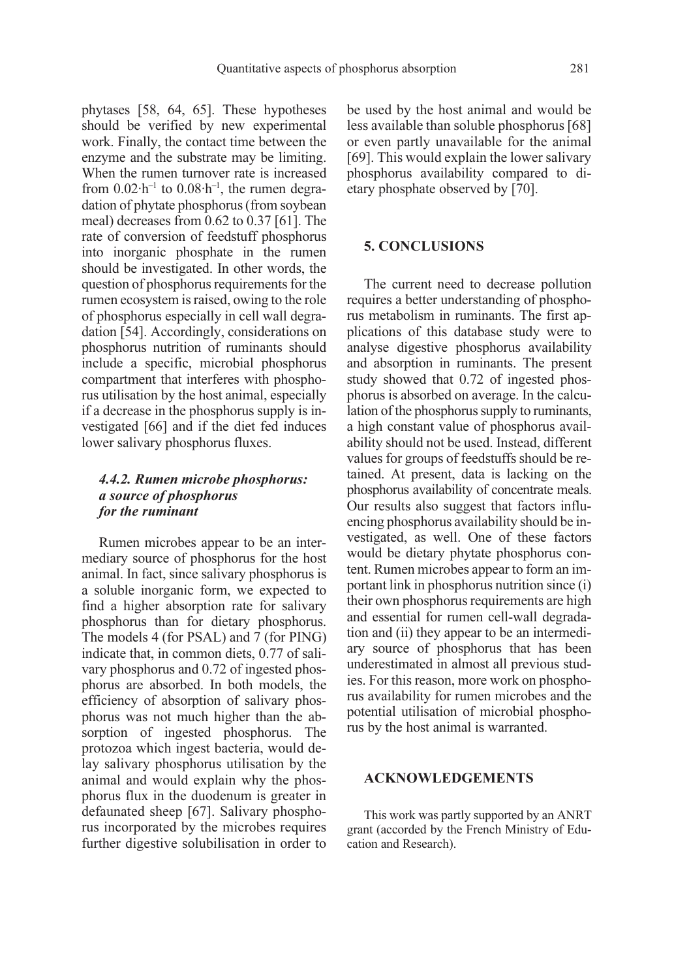phytases [58, 64, 65]. These hypotheses should be verified by new experimental work. Finally, the contact time between the enzyme and the substrate may be limiting. When the rumen turnover rate is increased from  $0.02 \cdot h^{-1}$  to  $0.08 \cdot h^{-1}$ , the rumen degradation of phytate phosphorus (from soybean meal) decreases from 0.62 to 0.37 [61]. The rate of conversion of feedstuff phosphorus into inorganic phosphate in the rumen should be investigated. In other words, the question of phosphorus requirements for the rumen ecosystem is raised, owing to the role of phosphorus especially in cell wall degradation [54]. Accordingly, considerations on phosphorus nutrition of ruminants should include a specific, microbial phosphorus compartment that interferes with phosphorus utilisation by the host animal, especially if a decrease in the phosphorus supply is investigated [66] and if the diet fed induces lower salivary phosphorus fluxes.

### 4.4.2. Rumen microbe phosphorus: a source of phosphorus for the ruminant

Rumen microbes appear to be an intermediary source of phosphorus for the host animal. In fact, since salivary phosphorus is a soluble inorganic form, we expected to find a higher absorption rate for salivary phosphorus than for dietary phosphorus. The models 4 (for PSAL) and 7 (for PING) indicate that, in common diets, 0.77 of salivary phosphorus and 0.72 of ingested phosphorus are absorbed. In both models, the efficiency of absorption of salivary phosphorus was not much higher than the absorption of ingested phosphorus. The protozoa which ingest bacteria, would delay salivary phosphorus utilisation by the animal and would explain why the phosphorus flux in the duodenum is greater in defaunated sheep [67]. Salivary phosphorus incorporated by the microbes requires further digestive solubilisation in order to be used by the host animal and would be less available than soluble phosphorus [68] or even partly unavailable for the animal [69]. This would explain the lower salivary phosphorus availability compared to dietary phosphate observed by [70].

#### 5. CONCLUSIONS

The current need to decrease pollution requires a better understanding of phosphorus metabolism in ruminants. The first applications of this database study were to analyse digestive phosphorus availability and absorption in ruminants. The present study showed that 0.72 of ingested phosphorus is absorbed on average. In the calculation of the phosphorus supply to ruminants, a high constant value of phosphorus availability should not be used. Instead, different values for groups of feedstuffs should be retained. At present, data is lacking on the phosphorus availability of concentrate meals. Our results also suggest that factors influencing phosphorus availability should be investigated, as well. One of these factors would be dietary phytate phosphorus content. Rumen microbes appear to form an important link in phosphorus nutrition since (i) their own phosphorus requirements are high and essential for rumen cell-wall degradation and (ii) they appear to be an intermediary source of phosphorus that has been underestimated in almost all previous studies. For this reason, more work on phosphorus availability for rumen microbes and the potential utilisation of microbial phosphorus by the host animal is warranted.

#### ACKNOWLEDGEMENTS

This work was partly supported by an ANRT grant (accorded by the French Ministry of Education and Research).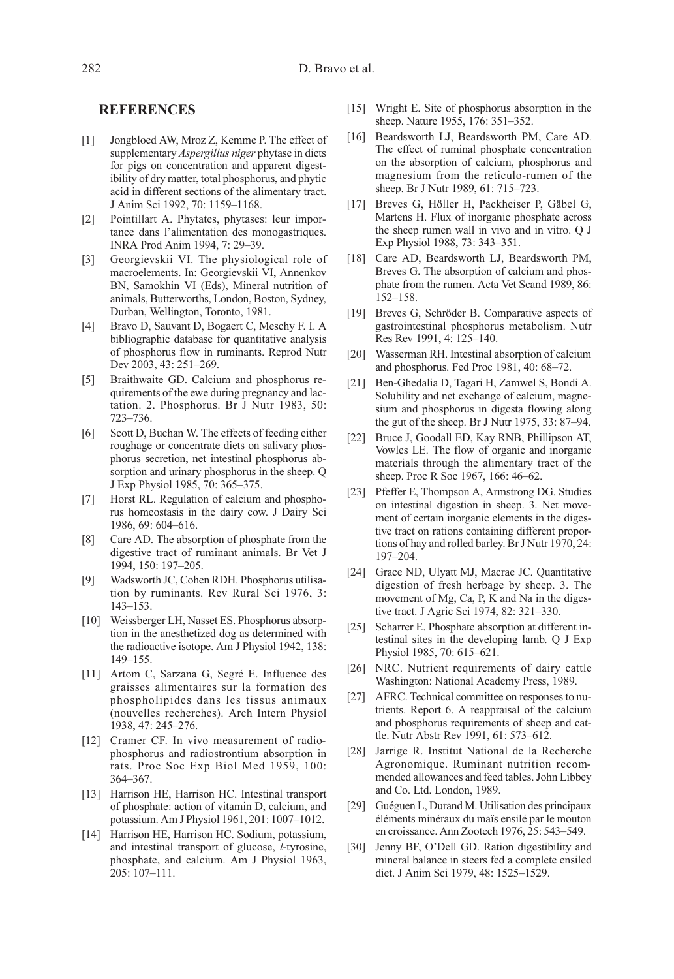#### **REFERENCES**

- [1] Jongbloed AW, Mroz Z, Kemme P. The effect of supplementary *Aspergillus niger* phytase in diets for pigs on concentration and apparent digestibility of dry matter, total phosphorus, and phytic acid in different sections of the alimentary tract. J Anim Sci 1992, 70: 1159–1168.
- [2] Pointillart A. Phytates, phytases: leur importance dans l'alimentation des monogastriques. INRA Prod Anim 1994, 7: 29–39.
- [3] Georgievskii VI. The physiological role of macroelements. In: Georgievskii VI, Annenkov BN, Samokhin VI (Eds), Mineral nutrition of animals, Butterworths, London, Boston, Sydney, Durban, Wellington, Toronto, 1981.
- [4] Bravo D, Sauvant D, Bogaert C, Meschy F. I. A bibliographic database for quantitative analysis of phosphorus flow in ruminants. Reprod Nutr Dev 2003, 43: 251–269.
- [5] Braithwaite GD. Calcium and phosphorus requirements of the ewe during pregnancy and lactation. 2. Phosphorus. Br J Nutr 1983, 50: 723–736.
- [6] Scott D, Buchan W. The effects of feeding either roughage or concentrate diets on salivary phosphorus secretion, net intestinal phosphorus absorption and urinary phosphorus in the sheep. Q J Exp Physiol 1985, 70: 365–375.
- [7] Horst RL. Regulation of calcium and phosphorus homeostasis in the dairy cow. J Dairy Sci 1986, 69: 604–616.
- [8] Care AD. The absorption of phosphate from the digestive tract of ruminant animals. Br Vet J 1994, 150: 197–205.
- [9] Wadsworth JC, Cohen RDH. Phosphorus utilisation by ruminants. Rev Rural Sci 1976, 3: 143–153.
- [10] Weissberger LH, Nasset ES. Phosphorus absorption in the anesthetized dog as determined with the radioactive isotope. Am J Physiol 1942, 138: 149–155.
- [11] Artom C, Sarzana G, Segré E. Influence des graisses alimentaires sur la formation des phospholipides dans les tissus animaux (nouvelles recherches). Arch Intern Physiol 1938, 47: 245–276.
- [12] Cramer CF. In vivo measurement of radiophosphorus and radiostrontium absorption in rats. Proc Soc Exp Biol Med 1959, 100: 364–367.
- [13] Harrison HE, Harrison HC. Intestinal transport of phosphate: action of vitamin D, calcium, and potassium. Am J Physiol 1961, 201: 1007–1012.
- [14] Harrison HE, Harrison HC. Sodium, potassium, and intestinal transport of glucose, l-tyrosine, phosphate, and calcium. Am J Physiol 1963,  $205 \cdot 107 - 111$
- [15] Wright E. Site of phosphorus absorption in the sheep. Nature 1955, 176: 351–352.
- [16] Beardsworth LJ, Beardsworth PM, Care AD. The effect of ruminal phosphate concentration on the absorption of calcium, phosphorus and magnesium from the reticulo-rumen of the sheep. Br J Nutr 1989, 61: 715–723.
- [17] Breves G, Höller H, Packheiser P, Gäbel G, Martens H. Flux of inorganic phosphate across the sheep rumen wall in vivo and in vitro. Q J Exp Physiol 1988, 73: 343–351.
- [18] Care AD, Beardsworth LJ, Beardsworth PM, Breves G. The absorption of calcium and phosphate from the rumen. Acta Vet Scand 1989, 86: 152–158.
- [19] Breves G, Schröder B. Comparative aspects of gastrointestinal phosphorus metabolism. Nutr Res Rev 1991, 4: 125–140.
- [20] Wasserman RH. Intestinal absorption of calcium and phosphorus. Fed Proc 1981, 40: 68–72.
- [21] Ben-Ghedalia D, Tagari H, Zamwel S, Bondi A. Solubility and net exchange of calcium, magnesium and phosphorus in digesta flowing along the gut of the sheep. Br J Nutr 1975, 33: 87–94.
- [22] Bruce J, Goodall ED, Kay RNB, Phillipson AT, Vowles LE. The flow of organic and inorganic materials through the alimentary tract of the sheep. Proc R Soc 1967, 166: 46–62.
- [23] Pfeffer E, Thompson A, Armstrong DG. Studies on intestinal digestion in sheep. 3. Net movement of certain inorganic elements in the digestive tract on rations containing different proportions of hay and rolled barley. Br J Nutr 1970, 24: 197–204.
- [24] Grace ND, Ulyatt MJ, Macrae JC. Quantitative digestion of fresh herbage by sheep. 3. The movement of Mg, Ca, P, K and Na in the digestive tract. J Agric Sci 1974, 82: 321–330.
- [25] Scharrer E. Phosphate absorption at different intestinal sites in the developing lamb. Q J Exp Physiol 1985, 70: 615–621.
- [26] NRC. Nutrient requirements of dairy cattle Washington: National Academy Press, 1989.
- [27] AFRC. Technical committee on responses to nutrients. Report 6. A reappraisal of the calcium and phosphorus requirements of sheep and cattle. Nutr Abstr Rev 1991, 61: 573–612.
- [28] Jarrige R. Institut National de la Recherche Agronomique. Ruminant nutrition recommended allowances and feed tables. John Libbey and Co. Ltd. London, 1989.
- [29] Guéguen L, Durand M. Utilisation des principaux éléments minéraux du maïs ensilé par le mouton en croissance. Ann Zootech 1976, 25: 543–549.
- [30] Jenny BF, O'Dell GD. Ration digestibility and mineral balance in steers fed a complete ensiled diet. J Anim Sci 1979, 48: 1525–1529.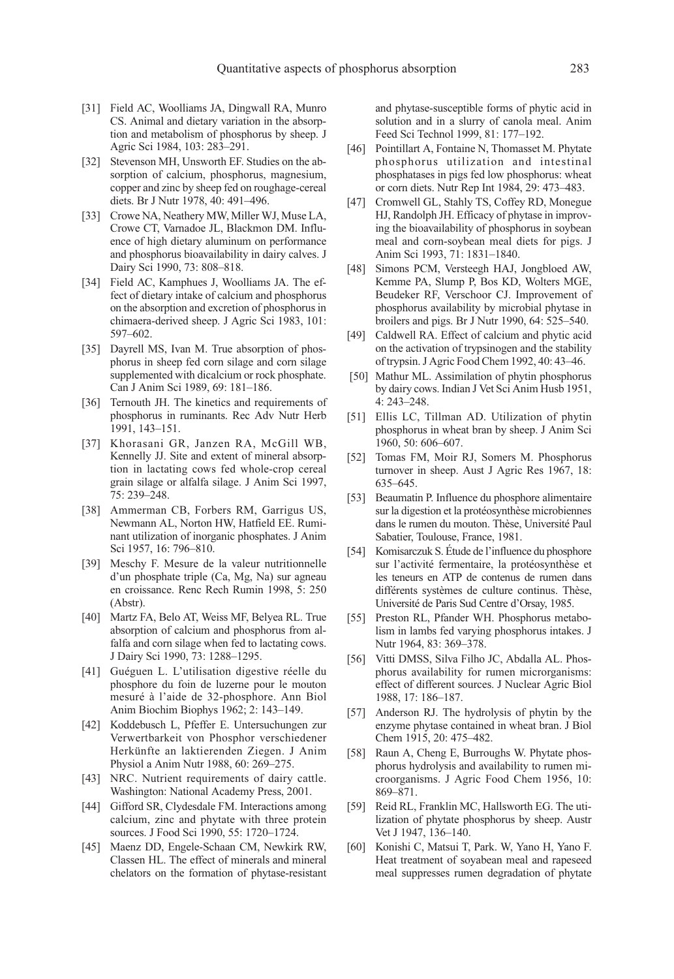- [31] Field AC, Woolliams JA, Dingwall RA, Munro CS. Animal and dietary variation in the absorption and metabolism of phosphorus by sheep. J Agric Sci 1984, 103: 283–291.
- [32] Stevenson MH, Unsworth EF. Studies on the absorption of calcium, phosphorus, magnesium, copper and zinc by sheep fed on roughage-cereal diets. Br J Nutr 1978, 40: 491–496.
- [33] Crowe NA, Neathery MW, Miller WJ, Muse LA, Crowe CT, Varnadoe JL, Blackmon DM. Influence of high dietary aluminum on performance and phosphorus bioavailability in dairy calves. J Dairy Sci 1990, 73: 808–818.
- [34] Field AC, Kamphues J, Woolliams JA. The effect of dietary intake of calcium and phosphorus on the absorption and excretion of phosphorus in chimaera-derived sheep. J Agric Sci 1983, 101: 597–602.
- [35] Dayrell MS, Ivan M. True absorption of phosphorus in sheep fed corn silage and corn silage supplemented with dicalcium or rock phosphate. Can J Anim Sci 1989, 69: 181–186.
- [36] Ternouth JH. The kinetics and requirements of phosphorus in ruminants. Rec Adv Nutr Herb 1991, 143–151.
- [37] Khorasani GR, Janzen RA, McGill WB, Kennelly JJ. Site and extent of mineral absorption in lactating cows fed whole-crop cereal grain silage or alfalfa silage. J Anim Sci 1997, 75: 239–248.
- [38] Ammerman CB, Forbers RM, Garrigus US, Newmann AL, Norton HW, Hatfield EE. Ruminant utilization of inorganic phosphates. J Anim Sci 1957, 16: 796–810.
- [39] Meschy F. Mesure de la valeur nutritionnelle d'un phosphate triple (Ca, Mg, Na) sur agneau en croissance. Renc Rech Rumin 1998, 5: 250 (Abstr).
- [40] Martz FA, Belo AT, Weiss MF, Belyea RL. True absorption of calcium and phosphorus from alfalfa and corn silage when fed to lactating cows. J Dairy Sci 1990, 73: 1288–1295.
- [41] Guéguen L. L'utilisation digestive réelle du phosphore du foin de luzerne pour le mouton mesuré à l'aide de 32-phosphore. Ann Biol Anim Biochim Biophys 1962; 2: 143–149.
- [42] Koddebusch L, Pfeffer E. Untersuchungen zur Verwertbarkeit von Phosphor verschiedener Herkünfte an laktierenden Ziegen. J Anim Physiol a Anim Nutr 1988, 60: 269–275.
- [43] NRC. Nutrient requirements of dairy cattle. Washington: National Academy Press, 2001.
- [44] Gifford SR, Clydesdale FM. Interactions among calcium, zinc and phytate with three protein sources. J Food Sci 1990, 55: 1720–1724.
- [45] Maenz DD, Engele-Schaan CM, Newkirk RW, Classen HL. The effect of minerals and mineral chelators on the formation of phytase-resistant

and phytase-susceptible forms of phytic acid in solution and in a slurry of canola meal. Anim Feed Sci Technol 1999, 81: 177–192.

- [46] Pointillart A, Fontaine N, Thomasset M. Phytate phosphorus utilization and intestinal phosphatases in pigs fed low phosphorus: wheat or corn diets. Nutr Rep Int 1984, 29: 473–483.
- [47] Cromwell GL, Stahly TS, Coffey RD, Monegue HJ, Randolph JH. Efficacy of phytase in improving the bioavailability of phosphorus in soybean meal and corn-soybean meal diets for pigs. J Anim Sci 1993, 71: 1831–1840.
- [48] Simons PCM, Versteegh HAJ, Jongbloed AW, Kemme PA, Slump P, Bos KD, Wolters MGE, Beudeker RF, Verschoor CJ. Improvement of phosphorus availability by microbial phytase in broilers and pigs. Br J Nutr 1990, 64: 525–540.
- [49] Caldwell RA. Effect of calcium and phytic acid on the activation of trypsinogen and the stability of trypsin. J Agric Food Chem 1992, 40: 43–46.
- [50] Mathur ML. Assimilation of phytin phosphorus by dairy cows. Indian J Vet Sci Anim Husb 1951, 4: 243–248.
- [51] Ellis LC, Tillman AD. Utilization of phytin phosphorus in wheat bran by sheep. J Anim Sci 1960, 50: 606–607.
- [52] Tomas FM, Moir RJ, Somers M. Phosphorus turnover in sheep. Aust J Agric Res 1967, 18: 635–645.
- [53] Beaumatin P. Influence du phosphore alimentaire sur la digestion et la protéosynthèse microbiennes dans le rumen du mouton. Thèse, Université Paul Sabatier, Toulouse, France, 1981.
- [54] Komisarczuk S. Étude de l'influence du phosphore sur l'activité fermentaire, la protéosynthèse et les teneurs en ATP de contenus de rumen dans différents systèmes de culture continus. Thèse, Université de Paris Sud Centre d'Orsay, 1985.
- [55] Preston RL, Pfander WH. Phosphorus metabolism in lambs fed varying phosphorus intakes. J Nutr 1964, 83: 369–378.
- [56] Vitti DMSS, Silva Filho JC, Abdalla AL. Phosphorus availability for rumen microrganisms: effect of different sources. J Nuclear Agric Biol 1988, 17: 186–187.
- [57] Anderson RJ. The hydrolysis of phytin by the enzyme phytase contained in wheat bran. J Biol Chem 1915, 20: 475–482.
- [58] Raun A, Cheng E, Burroughs W. Phytate phosphorus hydrolysis and availability to rumen microorganisms. J Agric Food Chem 1956, 10: 869–871.
- [59] Reid RL, Franklin MC, Hallsworth EG. The utilization of phytate phosphorus by sheep. Austr Vet J 1947, 136–140.
- [60] Konishi C, Matsui T, Park. W, Yano H, Yano F. Heat treatment of soyabean meal and rapeseed meal suppresses rumen degradation of phytate